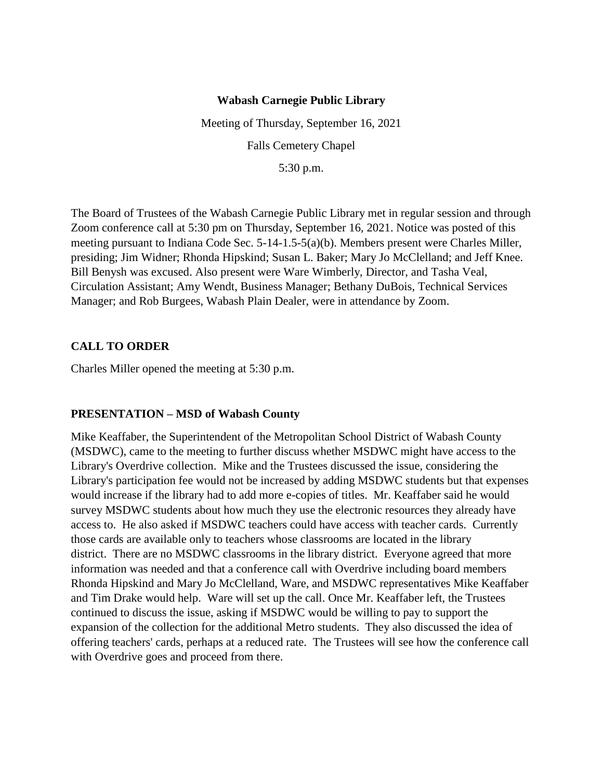## **Wabash Carnegie Public Library**

Meeting of Thursday, September 16, 2021 Falls Cemetery Chapel 5:30 p.m.

The Board of Trustees of the Wabash Carnegie Public Library met in regular session and through Zoom conference call at 5:30 pm on Thursday, September 16, 2021. Notice was posted of this meeting pursuant to Indiana Code Sec. 5-14-1.5-5(a)(b). Members present were Charles Miller, presiding; Jim Widner; Rhonda Hipskind; Susan L. Baker; Mary Jo McClelland; and Jeff Knee. Bill Benysh was excused. Also present were Ware Wimberly, Director, and Tasha Veal, Circulation Assistant; Amy Wendt, Business Manager; Bethany DuBois, Technical Services Manager; and Rob Burgees, Wabash Plain Dealer, were in attendance by Zoom.

## **CALL TO ORDER**

Charles Miller opened the meeting at 5:30 p.m.

## **PRESENTATION – MSD of Wabash County**

Mike Keaffaber, the Superintendent of the Metropolitan School District of Wabash County (MSDWC), came to the meeting to further discuss whether MSDWC might have access to the Library's Overdrive collection. Mike and the Trustees discussed the issue, considering the Library's participation fee would not be increased by adding MSDWC students but that expenses would increase if the library had to add more e-copies of titles. Mr. Keaffaber said he would survey MSDWC students about how much they use the electronic resources they already have access to. He also asked if MSDWC teachers could have access with teacher cards. Currently those cards are available only to teachers whose classrooms are located in the library district. There are no MSDWC classrooms in the library district. Everyone agreed that more information was needed and that a conference call with Overdrive including board members Rhonda Hipskind and Mary Jo McClelland, Ware, and MSDWC representatives Mike Keaffaber and Tim Drake would help. Ware will set up the call. Once Mr. Keaffaber left, the Trustees continued to discuss the issue, asking if MSDWC would be willing to pay to support the expansion of the collection for the additional Metro students. They also discussed the idea of offering teachers' cards, perhaps at a reduced rate. The Trustees will see how the conference call with Overdrive goes and proceed from there.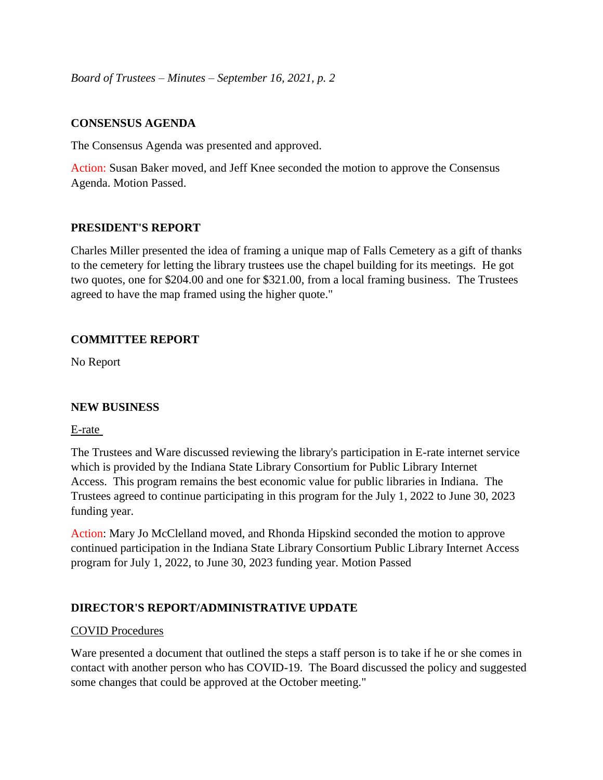*Board of Trustees – Minutes – September 16, 2021, p. 2*

## **CONSENSUS AGENDA**

The Consensus Agenda was presented and approved.

Action: Susan Baker moved, and Jeff Knee seconded the motion to approve the Consensus Agenda. Motion Passed.

## **PRESIDENT'S REPORT**

Charles Miller presented the idea of framing a unique map of Falls Cemetery as a gift of thanks to the cemetery for letting the library trustees use the chapel building for its meetings. He got two quotes, one for \$204.00 and one for \$321.00, from a local framing business. The Trustees agreed to have the map framed using the higher quote."

# **COMMITTEE REPORT**

No Report

## **NEW BUSINESS**

## E-rate

The Trustees and Ware discussed reviewing the library's participation in E-rate internet service which is provided by the Indiana State Library Consortium for Public Library Internet Access. This program remains the best economic value for public libraries in Indiana. The Trustees agreed to continue participating in this program for the July 1, 2022 to June 30, 2023 funding year.

Action: Mary Jo McClelland moved, and Rhonda Hipskind seconded the motion to approve continued participation in the Indiana State Library Consortium Public Library Internet Access program for July 1, 2022, to June 30, 2023 funding year. Motion Passed

## **DIRECTOR'S REPORT/ADMINISTRATIVE UPDATE**

## COVID Procedures

Ware presented a document that outlined the steps a staff person is to take if he or she comes in contact with another person who has COVID-19. The Board discussed the policy and suggested some changes that could be approved at the October meeting."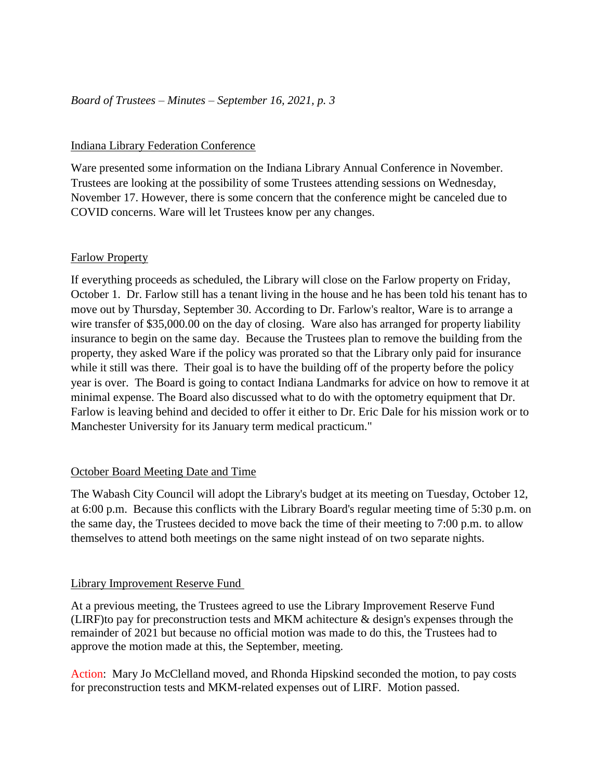## Indiana Library Federation Conference

Ware presented some information on the Indiana Library Annual Conference in November. Trustees are looking at the possibility of some Trustees attending sessions on Wednesday, November 17. However, there is some concern that the conference might be canceled due to COVID concerns. Ware will let Trustees know per any changes.

## Farlow Property

If everything proceeds as scheduled, the Library will close on the Farlow property on Friday, October 1. Dr. Farlow still has a tenant living in the house and he has been told his tenant has to move out by Thursday, September 30. According to Dr. Farlow's realtor, Ware is to arrange a wire transfer of \$35,000.00 on the day of closing. Ware also has arranged for property liability insurance to begin on the same day. Because the Trustees plan to remove the building from the property, they asked Ware if the policy was prorated so that the Library only paid for insurance while it still was there. Their goal is to have the building off of the property before the policy year is over. The Board is going to contact Indiana Landmarks for advice on how to remove it at minimal expense. The Board also discussed what to do with the optometry equipment that Dr. Farlow is leaving behind and decided to offer it either to Dr. Eric Dale for his mission work or to Manchester University for its January term medical practicum."

## October Board Meeting Date and Time

The Wabash City Council will adopt the Library's budget at its meeting on Tuesday, October 12, at 6:00 p.m. Because this conflicts with the Library Board's regular meeting time of 5:30 p.m. on the same day, the Trustees decided to move back the time of their meeting to 7:00 p.m. to allow themselves to attend both meetings on the same night instead of on two separate nights.

## Library Improvement Reserve Fund

At a previous meeting, the Trustees agreed to use the Library Improvement Reserve Fund (LIRF)to pay for preconstruction tests and MKM achitecture & design's expenses through the remainder of 2021 but because no official motion was made to do this, the Trustees had to approve the motion made at this, the September, meeting.

Action: Mary Jo McClelland moved, and Rhonda Hipskind seconded the motion, to pay costs for preconstruction tests and MKM-related expenses out of LIRF. Motion passed.